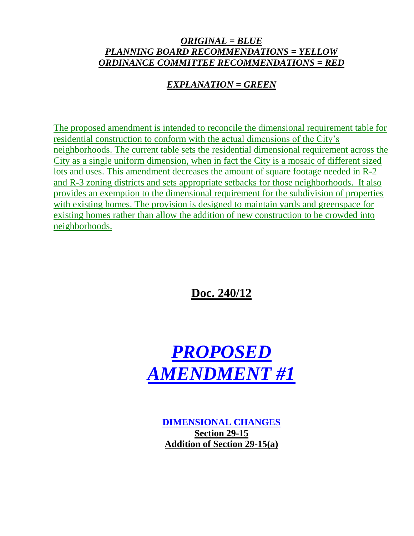## *ORIGINAL = BLUE PLANNING BOARD RECOMMENDATIONS = YELLOW ORDINANCE COMMITTEE RECOMMENDATIONS = RED*

# *EXPLANATION = GREEN*

The proposed amendment is intended to reconcile the dimensional requirement table for residential construction to conform with the actual dimensions of the City's neighborhoods. The current table sets the residential dimensional requirement across the City as a single uniform dimension, when in fact the City is a mosaic of different sized lots and uses. This amendment decreases the amount of square footage needed in R-2 and R-3 zoning districts and sets appropriate setbacks for those neighborhoods. It also provides an exemption to the dimensional requirement for the subdivision of properties with existing homes. The provision is designed to maintain yards and greenspace for existing homes rather than allow the addition of new construction to be crowded into neighborhoods.

**Doc. 240/12**



**DIMENSIONAL CHANGES Section 29-15 Addition of Section 29-15(a)**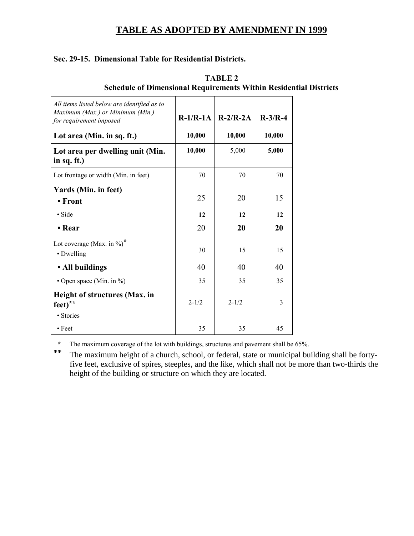## **TABLE AS ADOPTED BY AMENDMENT IN 1999**

#### **Sec. 29-15. Dimensional Table for Residential Districts.**

| All items listed below are identified as to<br>Maximum (Max.) or Minimum (Min.)<br>for requirement imposed | $R-1/R-1A$ | $R-2/R-2A$ | $R-3/R-4$ |
|------------------------------------------------------------------------------------------------------------|------------|------------|-----------|
| Lot area (Min. in sq. ft.)                                                                                 | 10,000     | 10,000     | 10,000    |
| Lot area per dwelling unit (Min.<br>in sq. ft.)                                                            | 10,000     | 5,000      | 5,000     |
| Lot frontage or width (Min. in feet)                                                                       | 70         | 70         | 70        |
| Yards (Min. in feet)<br>• Front                                                                            | 25         | 20         | 15        |
| $\bullet$ Side                                                                                             | 12         | 12         | 12        |
| • Rear                                                                                                     | 20         | 20         | 20        |
| Lot coverage (Max. in $\%$ ) <sup>*</sup><br>• Dwelling                                                    | 30         | 15         | 15        |
| • All buildings                                                                                            | 40         | 40         | 40        |
| • Open space (Min. in $\%$ )                                                                               | 35         | 35         | 35        |
| <b>Height of structures (Max. in</b><br>feet)**                                                            | $2 - 1/2$  | $2 - 1/2$  | 3         |
| • Stories<br>$\cdot$ Feet                                                                                  | 35         | 35         | 45        |

### **TABLE 2 Schedule of Dimensional Requirements Within Residential Districts**

**\*** The maximum coverage of the lot with buildings, structures and pavement shall be 65%.

**\*\*** The maximum height of a church, school, or federal, state or municipal building shall be fortyfive feet, exclusive of spires, steeples, and the like, which shall not be more than two-thirds the height of the building or structure on which they are located.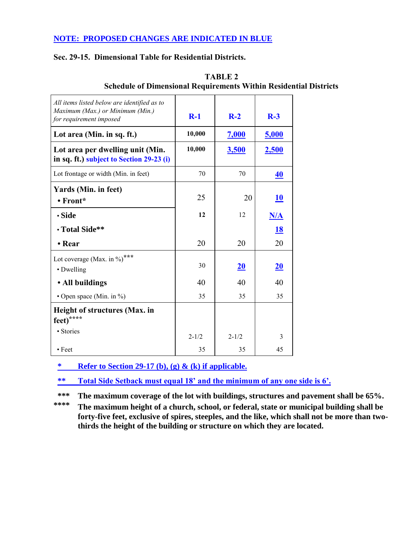## **NOTE: PROPOSED CHANGES ARE INDICATED IN BLUE**

#### **Sec. 29-15. Dimensional Table for Residential Districts.**

| All items listed below are identified as to<br>Maximum (Max.) or Minimum (Min.)<br>for requirement imposed | $R-1$     | $R-2$     | $R-3$        |
|------------------------------------------------------------------------------------------------------------|-----------|-----------|--------------|
| Lot area (Min. in sq. ft.)                                                                                 | 10,000    | 7,000     | 5,000        |
| Lot area per dwelling unit (Min.<br>in sq. ft.) subject to Section 29-23 (i)                               | 10,000    | 3,500     | <u>2,500</u> |
| Lot frontage or width (Min. in feet)                                                                       | 70        | 70        | 40           |
| Yards (Min. in feet)<br>$\bullet$ Front*                                                                   | 25        | 20        | <b>10</b>    |
| • Side                                                                                                     | 12        | 12        | <u>N/A</u>   |
| • Total Side**                                                                                             |           |           | <u>18</u>    |
| • Rear                                                                                                     | 20        | 20        | 20           |
| Lot coverage (Max. in %)***<br>• Dwelling                                                                  | 30        | <u>20</u> | 20           |
| • All buildings                                                                                            | 40        | 40        | 40           |
| • Open space (Min. in %)                                                                                   | 35        | 35        | 35           |
| Height of structures (Max. in<br>feet)****                                                                 |           |           |              |
| • Stories                                                                                                  | $2 - 1/2$ | $2 - 1/2$ | 3            |
| $\bullet$ Feet                                                                                             | 35        | 35        | 45           |

| TABLE 2                                                                  |
|--------------------------------------------------------------------------|
| <b>Schedule of Dimensional Requirements Within Residential Districts</b> |

**\* Refer to Section 29-17 (b), (g) & (k) if applicable.**

**\*\* Total Side Setback must equal 18' and the minimum of any one side is 6'.**

**\*\*\* The maximum coverage of the lot with buildings, structures and pavement shall be 65%.**

**\*\*\*\* The maximum height of a church, school, or federal, state or municipal building shall be forty-five feet, exclusive of spires, steeples, and the like, which shall not be more than twothirds the height of the building or structure on which they are located.**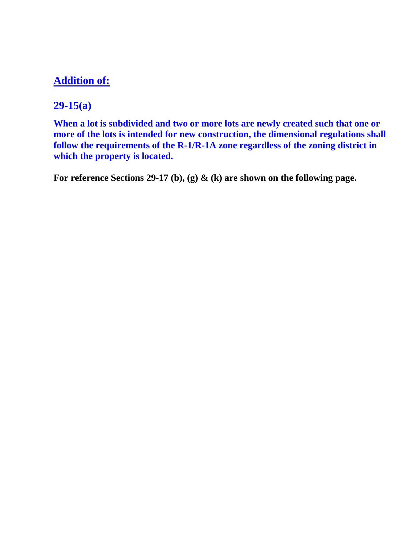# **Addition of:**

# **29-15(a)**

**When a lot is subdivided and two or more lots are newly created such that one or more of the lots is intended for new construction, the dimensional regulations shall follow the requirements of the R-1/R-1A zone regardless of the zoning district in which the property is located.**

**For reference Sections 29-17 (b), (g) & (k) are shown on the following page.**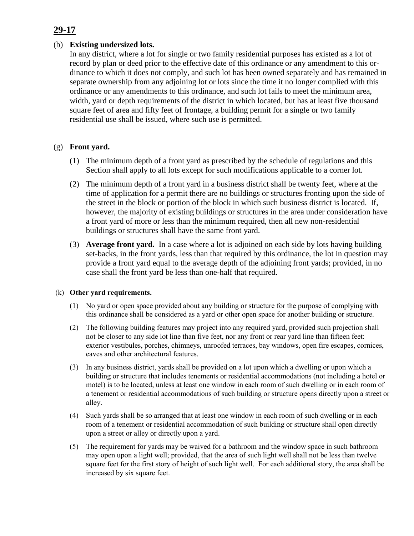# **29-17**

#### (b) **Existing undersized lots.**

In any district, where a lot for single or two family residential purposes has existed as a lot of record by plan or deed prior to the effective date of this ordinance or any amendment to this ordinance to which it does not comply, and such lot has been owned separately and has remained in separate ownership from any adjoining lot or lots since the time it no longer complied with this ordinance or any amendments to this ordinance, and such lot fails to meet the minimum area, width, yard or depth requirements of the district in which located, but has at least five thousand square feet of area and fifty feet of frontage, a building permit for a single or two family residential use shall be issued, where such use is permitted.

#### (g) **Front yard.**

- (1) The minimum depth of a front yard as prescribed by the schedule of regulations and this Section shall apply to all lots except for such modifications applicable to a corner lot.
- (2) The minimum depth of a front yard in a business district shall be twenty feet, where at the time of application for a permit there are no buildings or structures fronting upon the side of the street in the block or portion of the block in which such business district is located. If, however, the majority of existing buildings or structures in the area under consideration have a front yard of more or less than the minimum required, then all new non-residential buildings or structures shall have the same front yard.
- (3) **Average front yard.** In a case where a lot is adjoined on each side by lots having building set-backs, in the front yards, less than that required by this ordinance, the lot in question may provide a front yard equal to the average depth of the adjoining front yards; provided, in no case shall the front yard be less than one-half that required.

#### (k) **Other yard requirements.**

- (1) No yard or open space provided about any building or structure for the purpose of complying with this ordinance shall be considered as a yard or other open space for another building or structure.
- (2) The following building features may project into any required yard, provided such projection shall not be closer to any side lot line than five feet, nor any front or rear yard line than fifteen feet: exterior vestibules, porches, chimneys, unroofed terraces, bay windows, open fire escapes, cornices, eaves and other architectural features.
- (3) In any business district, yards shall be provided on a lot upon which a dwelling or upon which a building or structure that includes tenements or residential accommodations (not including a hotel or motel) is to be located, unless at least one window in each room of such dwelling or in each room of a tenement or residential accommodations of such building or structure opens directly upon a street or alley.
- (4) Such yards shall be so arranged that at least one window in each room of such dwelling or in each room of a tenement or residential accommodation of such building or structure shall open directly upon a street or alley or directly upon a yard.
- (5) The requirement for yards may be waived for a bathroom and the window space in such bathroom may open upon a light well; provided, that the area of such light well shall not be less than twelve square feet for the first story of height of such light well. For each additional story, the area shall be increased by six square feet.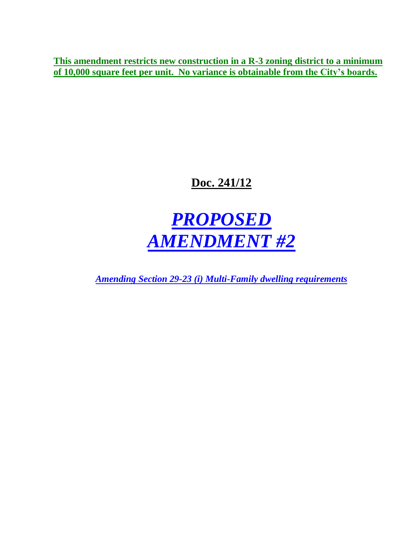**This amendment restricts new construction in a R-3 zoning district to a minimum of 10,000 square feet per unit. No variance is obtainable from the City's boards.**

# **Doc. 241/12**

# *PROPOSED AMENDMENT #2*

*Amending Section 29-23 (i) Multi-Family dwelling requirements*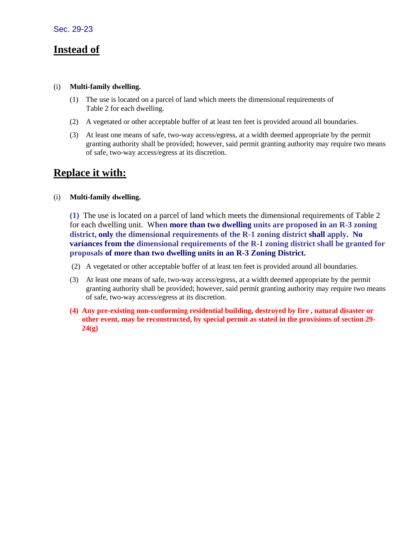# **Instead of**

#### (i) **Multi-family dwelling.**

- (1) The use is located on a parcel of land which meets the dimensional requirements of Table 2 for each dwelling.
- (2) A vegetated or other acceptable buffer of at least ten feet is provided around all boundaries.
- (3) At least one means of safe, two-way access/egress, at a width deemed appropriate by the permit granting authority shall be provided; however, said permit granting authority may require two means of safe, two-way access/egress at its discretion.

# **Replace it with:**

#### (i) **Multi-family dwelling.**

**(1)** The use is located on a parcel of land which meets the dimensional requirements of Table 2 for each dwelling unit. W**hen more than two dwelling units are proposed in an R-3 zoning district, only the dimensional requirements of the R-1 zoning district shall apply. No variances from the dimensional requirements of the R-1 zoning district shall be granted for proposals of more than two dwelling units in an R-3 Zoning District.**

- (2) A vegetated or other acceptable buffer of at least ten feet is provided around all boundaries.
- (3) At least one means of safe, two-way access/egress, at a width deemed appropriate by the permit granting authority shall be provided; however, said permit granting authority may require two means of safe, two-way access/egress at its discretion.
- **(4) Any pre-existing non-conforming residential building, destroyed by fire , natural disaster or other event, may be reconstructed, by special permit as stated in the provisions of section 29- 24(g)**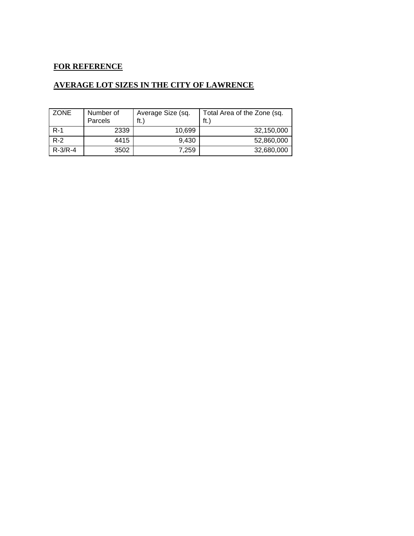## **FOR REFERENCE**

## **AVERAGE LOT SIZES IN THE CITY OF LAWRENCE**

| ZONE          | Number of<br>Parcels | Average Size (sq.<br>ft.) | Total Area of the Zone (sq.<br>ft. |  |  |  |  |
|---------------|----------------------|---------------------------|------------------------------------|--|--|--|--|
| $R-1$         | 2339                 | 10.699                    | 32,150,000                         |  |  |  |  |
| $R-2$         | 4415                 | 9,430                     | 52,860,000                         |  |  |  |  |
| $R - 3/R - 4$ | 3502                 | 7.259                     | 32,680,000                         |  |  |  |  |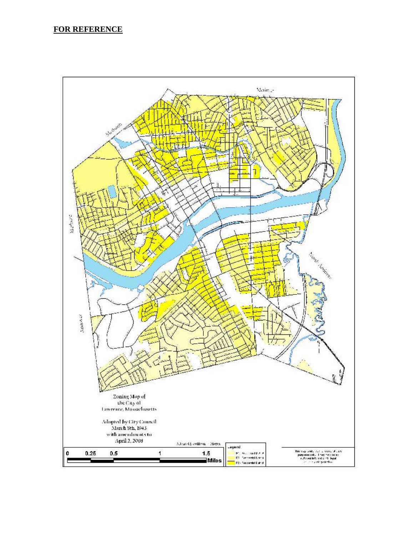#### **FOR REFERENCE**

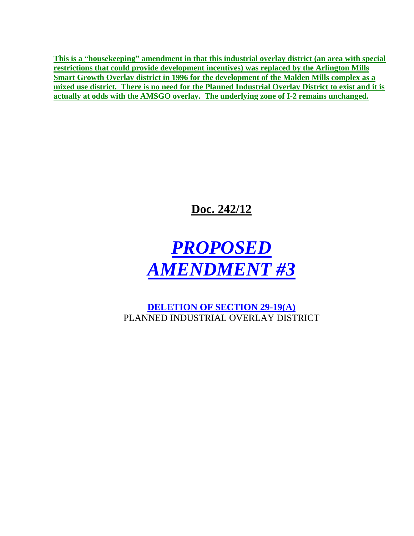**This is a "housekeeping" amendment in that this industrial overlay district (an area with special restrictions that could provide development incentives) was replaced by the Arlington Mills Smart Growth Overlay district in 1996 for the development of the Malden Mills complex as a mixed use district. There is no need for the Planned Industrial Overlay District to exist and it is actually at odds with the AMSGO overlay. The underlying zone of I-2 remains unchanged.**

**Doc. 242/12**



**DELETION OF SECTION 29-19(A)**  PLANNED INDUSTRIAL OVERLAY DISTRICT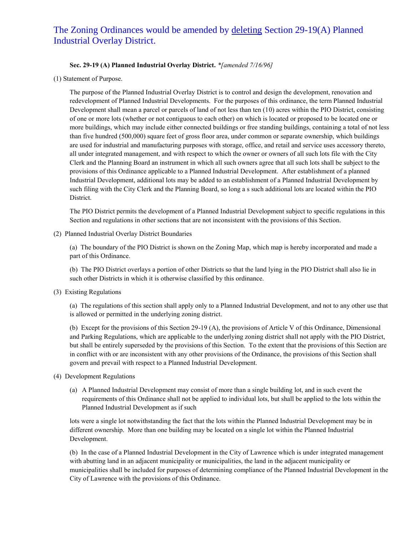## The Zoning Ordinances would be amended by deleting Section 29-19(A) Planned Industrial Overlay District.

#### **Sec. 29-19 (A) Planned Industrial Overlay District.** *\*[amended 7/16/96]*

(1) Statement of Purpose.

The purpose of the Planned Industrial Overlay District is to control and design the development, renovation and redevelopment of Planned Industrial Developments. For the purposes of this ordinance, the term Planned Industrial Development shall mean a parcel or parcels of land of not less than ten (10) acres within the PIO District, consisting of one or more lots (whether or not contiguous to each other) on which is located or proposed to be located one or more buildings, which may include either connected buildings or free standing buildings, containing a total of not less than five hundred (500,000) square feet of gross floor area, under common or separate ownership, which buildings are used for industrial and manufacturing purposes with storage, office, and retail and service uses accessory thereto, all under integrated management, and with respect to which the owner or owners of all such lots file with the City Clerk and the Planning Board an instrument in which all such owners agree that all such lots shall be subject to the provisions of this Ordinance applicable to a Planned Industrial Development. After establishment of a planned Industrial Development, additional lots may be added to an establishment of a Planned Industrial Development by such filing with the City Clerk and the Planning Board, so long a s such additional lots are located within the PIO District.

The PIO District permits the development of a Planned Industrial Development subject to specific regulations in this Section and regulations in other sections that are not inconsistent with the provisions of this Section.

(2) Planned Industrial Overlay District Boundaries

(a) The boundary of the PIO District is shown on the Zoning Map, which map is hereby incorporated and made a part of this Ordinance.

(b) The PIO District overlays a portion of other Districts so that the land lying in the PIO District shall also lie in such other Districts in which it is otherwise classified by this ordinance.

(3) Existing Regulations

(a) The regulations of this section shall apply only to a Planned Industrial Development, and not to any other use that is allowed or permitted in the underlying zoning district.

(b) Except for the provisions of this Section 29-19 (A), the provisions of Article V of this Ordinance, Dimensional and Parking Regulations, which are applicable to the underlying zoning district shall not apply with the PIO District, but shall be entirely superseded by the provisions of this Section. To the extent that the provisions of this Section are in conflict with or are inconsistent with any other provisions of the Ordinance, the provisions of this Section shall govern and prevail with respect to a Planned Industrial Development.

- (4) Development Regulations
	- (a) A Planned Industrial Development may consist of more than a single building lot, and in such event the requirements of this Ordinance shall not be applied to individual lots, but shall be applied to the lots within the Planned Industrial Development as if such

lots were a single lot notwithstanding the fact that the lots within the Planned Industrial Development may be in different ownership. More than one building may be located on a single lot within the Planned Industrial Development.

(b) In the case of a Planned Industrial Development in the City of Lawrence which is under integrated management with abutting land in an adjacent municipality or municipalities, the land in the adjacent municipality or municipalities shall be included for purposes of determining compliance of the Planned Industrial Development in the City of Lawrence with the provisions of this Ordinance.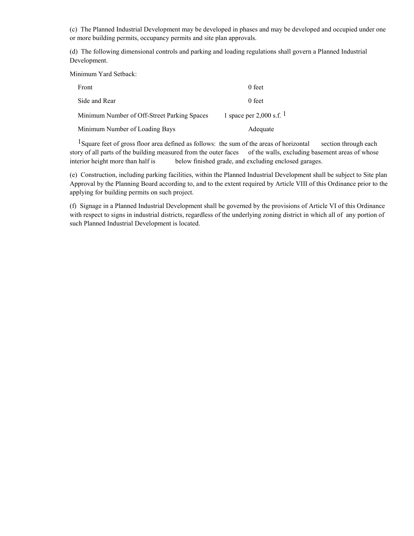(c) The Planned Industrial Development may be developed in phases and may be developed and occupied under one or more building permits, occupancy permits and site plan approvals.

(d) The following dimensional controls and parking and loading regulations shall govern a Planned Industrial Development.

Minimum Yard Setback:

| Front                                       | 0 feet                        |
|---------------------------------------------|-------------------------------|
| Side and Rear                               | 0 feet                        |
| Minimum Number of Off-Street Parking Spaces | 1 space per 2,000 s.f. $^{1}$ |
| Minimum Number of Loading Bays              | Adequate                      |

<sup>1</sup>Square feet of gross floor area defined as follows: the sum of the areas of horizontal section through each story of all parts of the building measured from the outer faces of the walls, excluding basement areas of whose interior height more than half is below finished grade, and excluding enclosed garages.

(e) Construction, including parking facilities, within the Planned Industrial Development shall be subject to Site plan Approval by the Planning Board according to, and to the extent required by Article VIII of this Ordinance prior to the applying for building permits on such project.

(f) Signage in a Planned Industrial Development shall be governed by the provisions of Article VI of this Ordinance with respect to signs in industrial districts, regardless of the underlying zoning district in which all of any portion of such Planned Industrial Development is located.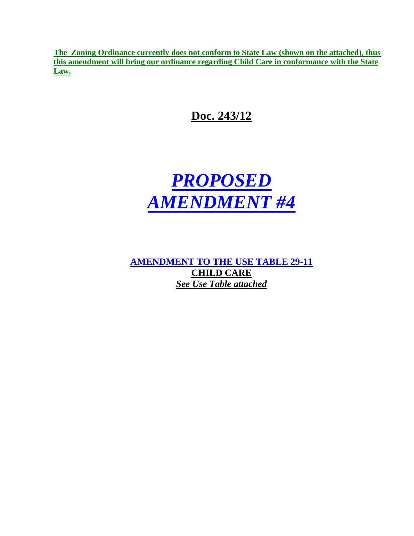**The Zoning Ordinance currently does not conform to State Law (shown on the attached), thus this amendment will bring our ordinance regarding Child Care in conformance with the State Law.**

**Doc. 243/12**



**AMENDMENT TO THE USE TABLE 29-11 CHILD CARE** *See Use Table attached*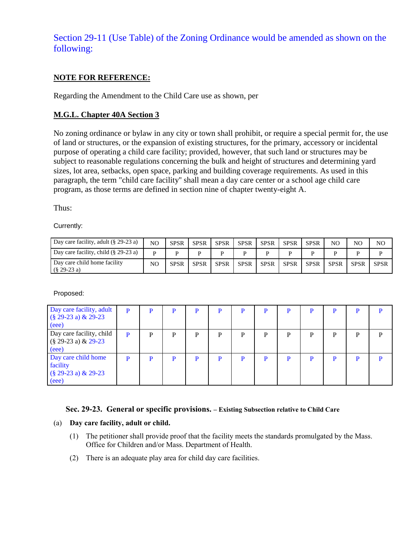# Section 29-11 (Use Table) of the Zoning Ordinance would be amended as shown on the following:

#### **NOTE FOR REFERENCE:**

Regarding the Amendment to the Child Care use as shown, per

#### **M.G.L. Chapter 40A Section 3**

No zoning ordinance or bylaw in any city or town shall prohibit, or require a special permit for, the use of land or structures, or the expansion of existing structures, for the primary, accessory or incidental purpose of operating a child care facility; provided, however, that such land or structures may be subject to reasonable regulations concerning the bulk and height of structures and determining yard sizes, lot area, setbacks, open space, parking and building coverage requirements. As used in this paragraph, the term "child care facility'' shall mean a day care center or a school age child care program, as those terms are defined in section nine of chapter twenty-eight A.

Thus:

Currently:

| Day care facility, adult $(\S$ 29-23 a)        | N <sub>O</sub> | <b>SPSR</b> | <b>SPSR</b> | <b>SPSR</b> | <b>SPSR</b> | <b>SPSR</b> | <b>SPSR</b> | <b>SPSR</b> | NO          | NO          | NO          |
|------------------------------------------------|----------------|-------------|-------------|-------------|-------------|-------------|-------------|-------------|-------------|-------------|-------------|
| Day care facility, child $(\S 29-23 a)$        | D              |             |             |             |             |             |             |             |             |             |             |
| Day care child home facility<br>$(\S$ 29-23 a) | NO             | <b>SPSR</b> | <b>SPSR</b> | <b>SPSR</b> | <b>SPSR</b> | <b>SPSR</b> | <b>SPSR</b> | <b>SPSR</b> | <b>SPSR</b> | <b>SPSR</b> | <b>SPSR</b> |

Proposed:

| Day care facility, adult<br>$(\S 29-23 a) \& 29-23$<br>(eee)       | P | P | P | P | D | P |   | P |   | P |   |   |
|--------------------------------------------------------------------|---|---|---|---|---|---|---|---|---|---|---|---|
| Day care facility, child<br>$(\S 29-23 a) \& 29-23$<br>(eee)       | P | P | P | P | D | P | D | P | D | P | D | D |
| Day care child home<br>facility<br>$(§ 29-23 a) \& 29-23$<br>(eee) | P | P | D | P |   | P |   | P |   | D |   |   |

#### **Sec. 29-23. General or specific provisions. – Existing Subsection relative to Child Care**

#### (a) **Day care facility, adult or child.**

- (1) The petitioner shall provide proof that the facility meets the standards promulgated by the Mass. Office for Children and/or Mass. Department of Health.
- (2) There is an adequate play area for child day care facilities.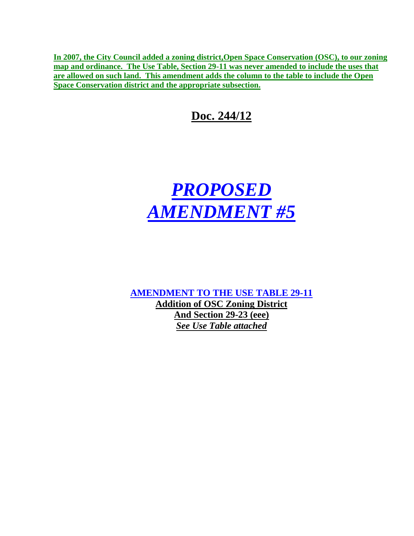**In 2007, the City Council added a zoning district,Open Space Conservation (OSC), to our zoning map and ordinance. The Use Table, Section 29-11 was never amended to include the uses that are allowed on such land. This amendment adds the column to the table to include the Open Space Conservation district and the appropriate subsection.**

# **Doc. 244/12**



**AMENDMENT TO THE USE TABLE 29-11 Addition of OSC Zoning District And Section 29-23 (eee)** *See Use Table attached*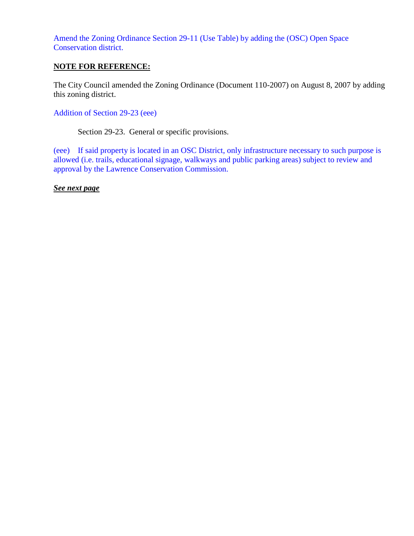Amend the Zoning Ordinance Section 29-11 (Use Table) by adding the (OSC) Open Space Conservation district.

#### **NOTE FOR REFERENCE:**

The City Council amended the Zoning Ordinance (Document 110-2007) on August 8, 2007 by adding this zoning district.

Addition of Section 29-23 (eee)

Section 29-23. General or specific provisions.

(eee) If said property is located in an OSC District, only infrastructure necessary to such purpose is allowed (i.e. trails, educational signage, walkways and public parking areas) subject to review and approval by the Lawrence Conservation Commission.

*See next page*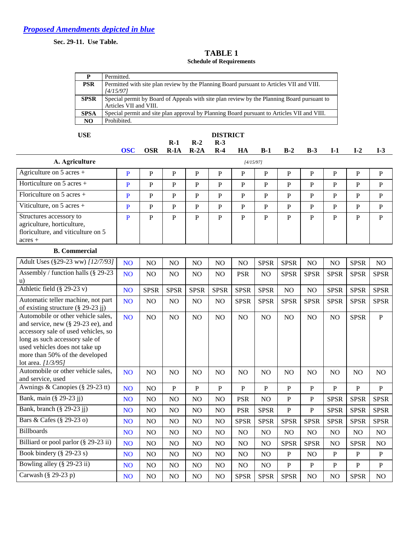**Sec. 29-11. Use Table.**

#### **TABLE 1 Schedule of Requirements**

| D           | Permitted.                                                                                 |
|-------------|--------------------------------------------------------------------------------------------|
| <b>PSR</b>  | Permitted with site plan review by the Planning Board pursuant to Articles VII and VIII.   |
|             | [4/15/97]                                                                                  |
| <b>SPSR</b> | Special permit by Board of Appeals with site plan review by the Planning Board pursuant to |
|             | Articles VII and VIII.                                                                     |
| <b>SPSA</b> | Special permit and site plan approval by Planning Board pursuant to Articles VII and VIII. |
| NO.         | Prohibited.                                                                                |

| USE                                                                                                      |            |             |       |                        | <b>DISTRICT</b> |           |       |       |       |       |       |       |
|----------------------------------------------------------------------------------------------------------|------------|-------------|-------|------------------------|-----------------|-----------|-------|-------|-------|-------|-------|-------|
|                                                                                                          | <b>OSC</b> | <b>OSR</b>  | $R-1$ | $R-2$<br>$R-IA$ $R-2A$ | $R-3$<br>$R-4$  | HA        | $B-1$ | $B-2$ | $B-3$ | $I-1$ | $I-2$ | $I-3$ |
| A. Agriculture                                                                                           |            |             |       |                        |                 | 14/15/971 |       |       |       |       |       |       |
| Agriculture on $5$ acres +                                                                               | P          | $\mathbf P$ | D     | P                      | P               | P         | P     | P     | P     | P     | P     | P     |
| Horticulture on $5$ acres +                                                                              | P          | P           | P     | P                      | P               | P         | P     | P     | P     | P     | P     | P     |
| Floriculture on $5$ acres +                                                                              | P          | P           | D     | P                      | P               | P         | P     | P     | P     | P     | P     | P     |
| Viticulture, on $5$ acres +                                                                              | P          | P           | P     | P                      | P               | P         | P     | P     | P     | P     | P     | P     |
| Structures accessory to<br>agriculture, horticulture,<br>floriculture, and viticulture on 5<br>$acres +$ | P          | P           | P     | P                      | P               | P         | P     | P     | P     | P     | P     | P     |

#### **B. Commercial**

| Adult Uses (§29-23 ww) [12/7/93]                                                                                                                                                                                                                 | N <sub>O</sub>  | N <sub>O</sub> | N <sub>O</sub> | N <sub>O</sub> | N <sub>O</sub> | N <sub>O</sub>  | <b>SPSR</b>    | <b>SPSR</b>    | N <sub>O</sub> | N <sub>O</sub> | <b>SPSR</b>    | N <sub>O</sub>  |
|--------------------------------------------------------------------------------------------------------------------------------------------------------------------------------------------------------------------------------------------------|-----------------|----------------|----------------|----------------|----------------|-----------------|----------------|----------------|----------------|----------------|----------------|-----------------|
| Assembly / function halls (§ 29-23<br>u)                                                                                                                                                                                                         | NO <sub>1</sub> | N <sub>O</sub> | N <sub>O</sub> | N <sub>O</sub> | N <sub>O</sub> | <b>PSR</b>      | N <sub>O</sub> | <b>SPSR</b>    | <b>SPSR</b>    | <b>SPSR</b>    | <b>SPSR</b>    | <b>SPSR</b>     |
| Athletic field $(\S$ 29-23 v)                                                                                                                                                                                                                    | NO <sub>1</sub> | <b>SPSR</b>    | <b>SPSR</b>    | <b>SPSR</b>    | <b>SPSR</b>    | <b>SPSR</b>     | <b>SPSR</b>    | N <sub>O</sub> | NO             | <b>SPSR</b>    | <b>SPSR</b>    | <b>SPSR</b>     |
| Automatic teller machine, not part<br>of existing structure $(\S 29-23 \text{ j})$                                                                                                                                                               | <b>NO</b>       | N <sub>O</sub> | N <sub>O</sub> | N <sub>O</sub> | NO             | <b>SPSR</b>     | <b>SPSR</b>    | <b>SPSR</b>    | <b>SPSR</b>    | <b>SPSR</b>    | <b>SPSR</b>    | <b>SPSR</b>     |
| Automobile or other vehicle sales,<br>and service, new $(\S 29-23$ ee), and<br>accessory sale of used vehicles, so<br>long as such accessory sale of<br>used vehicles does not take up<br>more than 50% of the developed<br>lot area. $[1/3/95]$ | NO <sub>1</sub> | NO             | NO             | NO             | NO             | NO              | NO             | N <sub>O</sub> | N <sub>O</sub> | N <sub>O</sub> | <b>SPSR</b>    | $\, {\bf P}$    |
| Automobile or other vehicle sales,<br>and service, used                                                                                                                                                                                          | N <sub>O</sub>  | N <sub>O</sub> | N <sub>O</sub> | N <sub>O</sub> | N <sub>O</sub> | N <sub>O</sub>  | N <sub>O</sub> | N <sub>O</sub> | N <sub>O</sub> | N <sub>O</sub> | N <sub>O</sub> | N <sub>O</sub>  |
| Awnings & Canopies (§ 29-23 tt)                                                                                                                                                                                                                  | NO <sub>1</sub> | N <sub>O</sub> | P              | P              | P              | P               | $\mathbf{P}$   | P              | P              | P              | $\mathbf{P}$   | $\mathbf{P}$    |
| Bank, main (§ 29-23 jj)                                                                                                                                                                                                                          | N <sub>O</sub>  | N <sub>O</sub> | N <sub>O</sub> | N <sub>O</sub> | N <sub>O</sub> | <b>PSR</b>      | N <sub>O</sub> | P              | $\mathbf{P}$   | <b>SPSR</b>    | <b>SPSR</b>    | <b>SPSR</b>     |
| Bank, branch (§ 29-23 jj)                                                                                                                                                                                                                        | N <sub>O</sub>  | NO             | N <sub>O</sub> | NO             | NO             | <b>PSR</b>      | <b>SPSR</b>    | $\mathbf{P}$   | $\mathbf{P}$   | <b>SPSR</b>    | <b>SPSR</b>    | <b>SPSR</b>     |
| Bars & Cafes (§ 29-23 o)                                                                                                                                                                                                                         | <b>NO</b>       | N <sub>O</sub> | N <sub>O</sub> | N <sub>O</sub> | NO             | <b>SPSR</b>     | <b>SPSR</b>    | <b>SPSR</b>    | <b>SPSR</b>    | <b>SPSR</b>    | <b>SPSR</b>    | <b>SPSR</b>     |
| <b>Billboards</b>                                                                                                                                                                                                                                | N <sub>O</sub>  | NO             | N <sub>O</sub> | N <sub>O</sub> | NO             | NO              | NO             | N <sub>O</sub> | N <sub>O</sub> | NO.            | NO.            | N <sub>O</sub>  |
| Billiard or pool parlor (§ 29-23 ii)                                                                                                                                                                                                             | N <sub>O</sub>  | NO             | N <sub>O</sub> | N <sub>O</sub> | N <sub>O</sub> | NO              | N <sub>O</sub> | <b>SPSR</b>    | <b>SPSR</b>    | NO.            | <b>SPSR</b>    | NO <sub>1</sub> |
| Book bindery $(\S 29-23 s)$                                                                                                                                                                                                                      | N <sub>O</sub>  | N <sub>O</sub> | NO             | NO             | N <sub>O</sub> | NO              | NO             | ${\bf P}$      | N <sub>O</sub> | P              | $\mathbf{P}$   | $\, {\bf P}$    |
| Bowling alley $(\S 29-23 \text{ ii})$                                                                                                                                                                                                            | NO <sub>1</sub> | NO             | N <sub>O</sub> | NO             | NO             | NO <sub>1</sub> | NO             | ${\bf P}$      | $\mathbf{P}$   | P              | $\mathbf{P}$   | $\, {\bf P}$    |
| Carwash $(\S 29-23 p)$                                                                                                                                                                                                                           | <b>NO</b>       | NO             | N <sub>O</sub> | NO             | NO             | <b>SPSR</b>     | <b>SPSR</b>    | <b>SPSR</b>    | NO             | N <sub>O</sub> | <b>SPSR</b>    | NO              |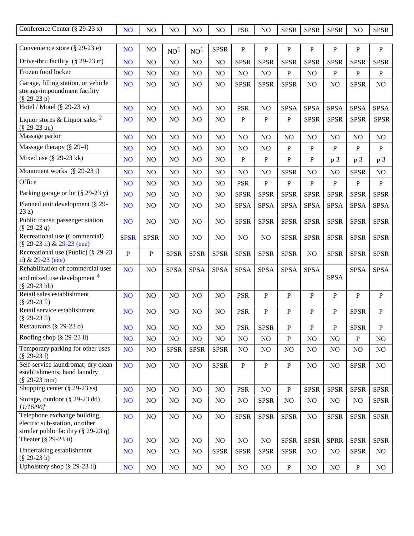| Conference Center $(\S$ 29-23 x)                                                                          | NO <sub>1</sub> | NO             | NO              | NO              | NO             | <b>PSR</b>     | NO             | <b>SPSR</b>    | <b>SPSR</b>    | <b>SPSR</b>    | NO             | <b>SPSR</b>    |
|-----------------------------------------------------------------------------------------------------------|-----------------|----------------|-----------------|-----------------|----------------|----------------|----------------|----------------|----------------|----------------|----------------|----------------|
| Convenience store $(\S 29-23 e)$                                                                          | NO <sub>1</sub> | NO             | NO <sup>1</sup> | NO <sup>1</sup> | <b>SPSR</b>    | ${\bf P}$      | $\mathbf P$    | $\mathbf{P}$   | $\mathbf{P}$   | ${\bf P}$      | $\mathbf P$    | $\, {\bf P}$   |
| Drive-thru facility $(\S 29-23 \text{ rr})$                                                               | NO <sub>1</sub> | NO             | NO              | NO              | NO             | <b>SPSR</b>    | <b>SPSR</b>    | <b>SPSR</b>    | <b>SPSR</b>    | <b>SPSR</b>    | <b>SPSR</b>    | <b>SPSR</b>    |
| Frozen food locker                                                                                        | N <sub>O</sub>  | NO             | N <sub>O</sub>  | N <sub>O</sub>  | N <sub>O</sub> | NO             | NO.            | ${\bf P}$      | N <sub>O</sub> | $\mathbf{P}$   | $\mathbf{P}$   | $\mathbf{P}$   |
| Garage, filling station, or vehicle<br>storage/impoundment facility<br>$(\$29-23p)$                       | NO <sub>1</sub> | NO             | NO              | NO              | NO             | <b>SPSR</b>    | <b>SPSR</b>    | <b>SPSR</b>    | N <sub>O</sub> | NO             | <b>SPSR</b>    | NO             |
| Hotel / Motel $(\S$ 29-23 w)                                                                              | NO <sub>1</sub> | NO             | NO              | N <sub>O</sub>  | NO             | <b>PSR</b>     | NO             | <b>SPSA</b>    | <b>SPSA</b>    | <b>SPSA</b>    | <b>SPSA</b>    | <b>SPSA</b>    |
| Liquor stores & Liquor sales $^2$<br>$(\$29-23$ uu)                                                       | NO <sub>1</sub> | NO             | NO              | NO              | NO             | $\, {\bf P}$   | $\mathbf{P}$   | $\, {\bf P}$   | <b>SPSR</b>    | <b>SPSR</b>    | <b>SPSR</b>    | <b>SPSR</b>    |
| Massage parlor                                                                                            | NO <sub>1</sub> | NO             | NO              | N <sub>O</sub>  | NO             | NO             | NO             | NO             | NO             | NO             | NO             | NO             |
| Massage therapy (§ 29-4)                                                                                  | N <sub>O</sub>  | NO             | NO              | N <sub>O</sub>  | NO             | NO             | N <sub>O</sub> | $\, {\bf P}$   | $\mathbf{P}$   | $\mathbf{P}$   | $\, {\bf P}$   | $\, {\bf P}$   |
| Mixed use $(\S$ 29-23 kk)                                                                                 | NO <sub>1</sub> | NO             | NO.             | NO              | NO             | $\, {\bf P}$   | $\mathbf{P}$   | $\mathbf{P}$   | $\, {\bf P}$   | p <sub>3</sub> | p <sub>3</sub> | p <sub>3</sub> |
| Monument works $(\S 29-23 t)$                                                                             | N <sub>O</sub>  | NO             | NO              | NO              | NO             | NO             | NO             | <b>SPSR</b>    | NO             | NO             | <b>SPSR</b>    | NO             |
| Office                                                                                                    | NO <sub></sub>  | NO             | NO              | NO              | NO             | <b>PSR</b>     | $\mathbf P$    | ${\bf P}$      | $\, {\bf P}$   | $\mathbf{P}$   | $\mathbf{P}$   | $\, {\bf P}$   |
| Parking garage or lot (§ 29-23 y)                                                                         | NO <sub>1</sub> | NO             | NO              | NO              | NO             | <b>SPSR</b>    | <b>SPSR</b>    | <b>SPSR</b>    | <b>SPSR</b>    | <b>SPSR</b>    | <b>SPSR</b>    | <b>SPSR</b>    |
| Planned unit development (§ 29-<br>23z)                                                                   | N <sub>O</sub>  | NO             | NO              | N <sub>O</sub>  | NO             | <b>SPSA</b>    | <b>SPSA</b>    | <b>SPSA</b>    | <b>SPSA</b>    | <b>SPSA</b>    | <b>SPSA</b>    | <b>SPSA</b>    |
| Public transit passenger station<br>$(\S 29-23 q)$                                                        | N <sub>O</sub>  | NO             | NO              | N <sub>O</sub>  | NO             | <b>SPSR</b>    | <b>SPSR</b>    | <b>SPSR</b>    | <b>SPSR</b>    | <b>SPSR</b>    | <b>SPSR</b>    | <b>SPSR</b>    |
| Recreational use (Commercial)<br>(§ 29-23 ii) & 29-23 (eee)                                               | <b>SPSR</b>     | <b>SPSR</b>    | NO              | N <sub>O</sub>  | NO             | NO             | N <sub>O</sub> | <b>SPSR</b>    | <b>SPSR</b>    | <b>SPSR</b>    | <b>SPSR</b>    | <b>SPSR</b>    |
| Recreational use (Public) (§ 29-23<br>ii) $& 29-23$ (eee)                                                 | $\mathbf{P}$    | $\mathbf{P}$   | <b>SPSR</b>     | <b>SPSR</b>     | <b>SPSR</b>    | <b>SPSR</b>    | <b>SPSR</b>    | <b>SPSR</b>    | NO             | <b>SPSR</b>    | <b>SPSR</b>    | <b>SPSR</b>    |
| Rehabilitation of commercial uses<br>and mixed use development <sup>4</sup><br>$(\$29-23 hh)$             | NO <sub>1</sub> | NO             | <b>SPSA</b>     | <b>SPSA</b>     | <b>SPSA</b>    | <b>SPSA</b>    | <b>SPSA</b>    | <b>SPSA</b>    | <b>SPSA</b>    | <b>SPSA</b>    | <b>SPSA</b>    | <b>SPSA</b>    |
| Retail sales establishment<br>$(\$ 29-23 11)$                                                             | NO <sub>1</sub> | N <sub>O</sub> | NO              | N <sub>O</sub>  | NO             | <b>PSR</b>     | $\mathbf{P}$   | $\mathbf{P}$   | P              | $\mathbf{P}$   | $\mathbf{P}$   | $\mathbf{P}$   |
| Retail service establishment<br>$(\$ 29-23 11)$                                                           | N <sub>O</sub>  | NO             | N <sub>O</sub>  | N <sub>O</sub>  | NO             | <b>PSR</b>     | $\mathbf{P}$   | $\mathbf{P}$   | P              | $\mathbf{P}$   | <b>SPSR</b>    | $\mathbf{P}$   |
| Restaurants (§ 29-23 o)                                                                                   | NO <sub></sub>  | $\rm NO$       | $\rm NO$        | $\rm NO$        | $\rm NO$       | PSR            | <b>SPSR</b>    | ${\bf P}$      | $\mathbf P$    | ${\bf P}$      | <b>SPSR</b>    | ${\bf P}$      |
| Roofing shop $(\S 29-23 \text{ l})$                                                                       | NO <sub>1</sub> | NO             | NO              | NO              | NO             | NO             | NO.            | $\, {\bf P}$   | NO             | NO             | $\, {\bf P}$   | NO             |
| Temporary parking for other uses<br>$(\$29-23f)$                                                          | NO <sub>1</sub> | NO             | <b>SPSR</b>     | <b>SPSR</b>     | <b>SPSR</b>    | N <sub>O</sub> | NO.            | N <sub>O</sub> | N <sub>O</sub> | NO             | N <sub>O</sub> | NO             |
| Self-service laundromat; dry clean<br>establishments; hand laundry<br>$(\$ 29-23 mm)$                     | NO <sub>1</sub> | $NO$           | NO              | NO              | <b>SPSR</b>    | ${\bf P}$      | $\mathbf{P}$   | $\, {\bf P}$   | NO             | NO             | <b>SPSR</b>    | NO             |
| Shopping center $(\S 29-23 \text{ ss})$                                                                   | NO <sub>1</sub> | $NO$           | $\rm NO$        | $\rm NO$        | $\rm NO$       | <b>PSR</b>     | NO             | ${\bf P}$      | <b>SPSR</b>    | <b>SPSR</b>    | <b>SPSR</b>    | <b>SPSR</b>    |
| Storage, outdoor (§ 29-23 dd)<br>1/16/96                                                                  | NO <sub>1</sub> | NO             | NO.             | NO.             | NO             | NO             | <b>SPSR</b>    | NO             | NO             | NO             | NO             | <b>SPSR</b>    |
| Telephone exchange building,<br>electric sub-station, or other<br>similar public facility ( $\S$ 29-23 q) | NO <sub>1</sub> | NO             | NO.             | NO              | NO             | <b>SPSR</b>    | <b>SPSR</b>    | <b>SPSR</b>    | NO             | <b>SPSR</b>    | <b>SPSR</b>    | <b>SPSR</b>    |
| Theater $(\S 29-23 ii)$                                                                                   | NO <sub>1</sub> | NO             | NO              | NO              | NO             | $\rm NO$       | NO             | <b>SPSR</b>    | <b>SPSR</b>    | <b>SPRR</b>    | <b>SPSR</b>    | <b>SPSR</b>    |
| Undertaking establishment<br>$(\$ 29-23 h)$                                                               | NO <sub>1</sub> | NO             | NO              | NO              | <b>SPSR</b>    | <b>SPSR</b>    | <b>SPSR</b>    | <b>SPSR</b>    | N <sub>O</sub> | NO             | <b>SPSR</b>    | NO             |
| Upholstery shop $(\S 29-23 11)$                                                                           | NO <sub>1</sub> | NO             | NO              | N <sub>O</sub>  | NO             | NO             | NO             | $\mathbf{P}$   | NO             | NO             | $\mathbf{P}$   | NO             |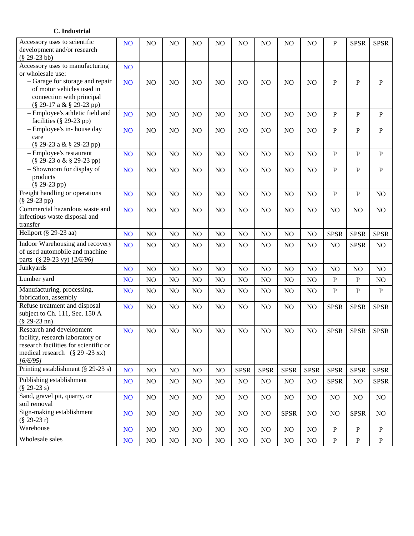#### **C. Industrial**

| Accessory uses to scientific<br>development and/or research<br>$(\$29-23bb)$ | NO <sub>1</sub> | NO  | NO             | NO  | NO  | N <sub>O</sub> | NO          | NO          | N <sub>O</sub> | P              | <b>SPSR</b>    | <b>SPSR</b>    |
|------------------------------------------------------------------------------|-----------------|-----|----------------|-----|-----|----------------|-------------|-------------|----------------|----------------|----------------|----------------|
| Accessory uses to manufacturing                                              | NO <sub>1</sub> |     |                |     |     |                |             |             |                |                |                |                |
| or wholesale use:                                                            |                 |     |                |     |     |                |             |             |                |                |                |                |
| - Garage for storage and repair                                              | NO <sub>1</sub> | NO  | N <sub>O</sub> | NO  | NO  | N <sub>O</sub> | NO          | NO          | NO             | P              | $\, {\bf P}$   | $\, {\bf P}$   |
| of motor vehicles used in                                                    |                 |     |                |     |     |                |             |             |                |                |                |                |
| connection with principal                                                    |                 |     |                |     |     |                |             |             |                |                |                |                |
| (§ 29-17 a & § 29-23 pp)                                                     |                 |     |                |     |     |                |             |             |                |                |                |                |
| - Employee's athletic field and                                              | NO <sub>1</sub> | NO  | NO             | NO  | NO  | NO             | NO          | NO          | NO             | ${\bf P}$      | $\, {\bf P}$   | $\, {\bf P}$   |
| facilities (§ 29-23 pp)                                                      |                 |     |                |     |     |                |             |             |                |                |                |                |
| - Employee's in- house day                                                   | NO <sub>1</sub> | NO  | NO             | NO  | NO  | NO             | NO          | NO          | NO             | $\overline{P}$ | $\, {\bf P}$   | $\, {\bf P}$   |
| care                                                                         |                 |     |                |     |     |                |             |             |                |                |                |                |
| (§ 29-23 a & § 29-23 pp)                                                     |                 |     |                |     |     |                |             |             |                |                |                |                |
| - Employee's restaurant                                                      | NO <sub>1</sub> | NO  | NO             | NO  | NO  | NO             | NO          | NO          | NO             | $\, {\bf P}$   | $\, {\bf P}$   | $\, {\bf P}$   |
| (§ 29-23 o & § 29-23 pp)                                                     |                 |     |                |     |     |                |             |             |                |                |                |                |
| - Showroom for display of                                                    | NO <sub>1</sub> | NO  | NO             | NO  | NO  | NO             | NO          | NO          | NO             | $\overline{P}$ | $\overline{P}$ | $\overline{P}$ |
| products                                                                     |                 |     |                |     |     |                |             |             |                |                |                |                |
| $(\$ 29-23 pp)$                                                              |                 |     |                |     |     |                |             |             |                |                |                |                |
| Freight handling or operations                                               | NO <sub>1</sub> | NO  | NO             | NO  | NO  | NO             | NO          | NO          | NO             | $\overline{P}$ | $\mathbf{P}$   | NO             |
| $(\$ 29-23 pp)$                                                              |                 |     |                |     |     |                |             |             |                |                |                |                |
| Commercial hazardous waste and                                               | NO <sub>1</sub> | NO  | NO             | NO  | NO  | NO             | NO          | NO          | NO             | NO             | NO             | NO             |
| infectious waste disposal and                                                |                 |     |                |     |     |                |             |             |                |                |                |                |
| transfer                                                                     |                 |     |                |     |     |                |             |             |                |                |                |                |
| Heliport (§ 29-23 aa)                                                        | NO <sub>1</sub> | NO  | NO             | NO  | NO  | NO             | NO          | NO          | NO             | <b>SPSR</b>    | <b>SPSR</b>    | <b>SPSR</b>    |
|                                                                              |                 |     |                |     |     |                |             |             |                |                |                |                |
| Indoor Warehousing and recovery                                              | NO <sub>1</sub> | NO  | NO             | NO  | NO  | NO             | NO          | NO          | NO             | NO             | <b>SPSR</b>    | NO             |
| of used automobile and machine                                               |                 |     |                |     |     |                |             |             |                |                |                |                |
| parts (§ 29-23 yy) [2/6/96]                                                  |                 |     |                |     |     |                |             |             |                |                |                |                |
| Junkyards                                                                    | NO <sub>1</sub> | NO  | NO             | NO  | NO  | NO             | NO          | NO          | NO             | NO             | N <sub>O</sub> | NO             |
| Lumber yard                                                                  | NO <sub>1</sub> | NO  | NO             | NO  | NO  | NO             | NO          | NO          | NO             | ${\bf P}$      | ${\bf P}$      | NO             |
| Manufacturing, processing,                                                   | NO <sub>1</sub> | NO  | NO             | NO  | NO  | NO             | NO          | NO          | NO             | $\mathbf P$    | $\, {\bf P}$   | $\, {\bf P}$   |
| fabrication, assembly                                                        |                 |     |                |     |     |                |             |             |                |                |                |                |
| Refuse treatment and disposal                                                | NO <sub>1</sub> | NO  | NO             | NO  | NO  | NO             | NO          | NO          | NO             | <b>SPSR</b>    | <b>SPSR</b>    | <b>SPSR</b>    |
| subject to Ch. 111, Sec. 150 A                                               |                 |     |                |     |     |                |             |             |                |                |                |                |
| $(\$ 29-23$ nn)                                                              |                 |     |                |     |     |                |             |             |                |                |                |                |
| Research and development                                                     | NO <sub>1</sub> | NO  | NO             | NO  | NO  | NO             | NO          | NO          | NO             | <b>SPSR</b>    | <b>SPSR</b>    | <b>SPSR</b>    |
| facility, research laboratory or                                             |                 |     |                |     |     |                |             |             |                |                |                |                |
| research facilities for scientific or                                        |                 |     |                |     |     |                |             |             |                |                |                |                |
| medical research $(\S 29 - 23 xx)$                                           |                 |     |                |     |     |                |             |             |                |                |                |                |
| [6/6/95]                                                                     |                 |     |                |     |     |                |             |             |                |                |                |                |
| Printing establishment $(\S 29-23 s)$                                        | NO <sub>1</sub> | NO. | NO.            | NO  | NO  | <b>SPSR</b>    | <b>SPSR</b> | <b>SPSR</b> | <b>SPSR</b>    | <b>SPSR</b>    | <b>SPSR</b>    | <b>SPSR</b>    |
| Publishing establishment                                                     | NO <sub>1</sub> | NO  | NO             | NO  | NO. | NO             | NO          | NO          | NO             | <b>SPSR</b>    | NO             | <b>SPSR</b>    |
| $(\$29-23 s)$                                                                |                 |     |                |     |     |                |             |             |                |                |                |                |
| Sand, gravel pit, quarry, or                                                 | NO <sub>1</sub> | NO  | NO             | NO. | NO  | NO             | NO          | NO          | NO             | NO             | NO             | NO             |
| soil removal                                                                 |                 |     |                |     |     |                |             |             |                |                |                |                |
| Sign-making establishment                                                    | NO <sub>1</sub> | NO  | NO             | NO. | NO  | NO             | NO          | <b>SPSR</b> | NO             | NO             | <b>SPSR</b>    | NO             |
| $(\$ 29-23 r)$                                                               |                 |     |                |     |     |                |             |             |                |                |                |                |
| Warehouse                                                                    | NO <sub>1</sub> | NO. | NO.            | NO. | NO  | NO             | NO          | NO          | NO             | $\mathbf{P}$   | $\, {\bf P}$   | $\mathbf{P}$   |
|                                                                              |                 |     |                |     |     |                |             |             |                |                |                |                |
| Wholesale sales                                                              | NO <sub>1</sub> | NO  | NO             | NO  | NO  | NO             | NO          | NO          | NO             | ${\bf P}$      | $\, {\bf P}$   | $\, {\bf P}$   |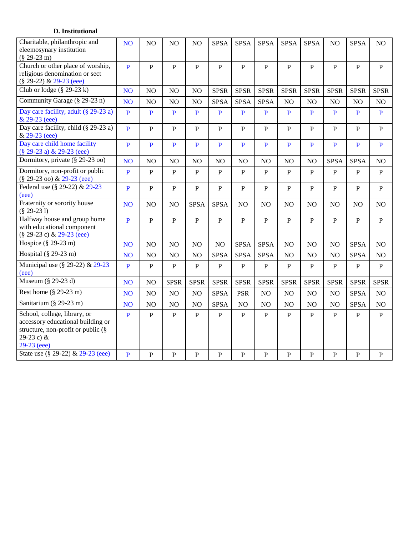#### **D. Institutional**

| Charitable, philanthropic and<br>eleemosynary institution<br>$(\$29-23 m)$                                                                                                     | <b>NO</b>                    | NO                           | NO                             | NO                           | <b>SPSA</b>                  | <b>SPSA</b>                  | <b>SPSA</b>                    | <b>SPSA</b>            | <b>SPSA</b>                  | NO                           | <b>SPSA</b>                  | NO                           |
|--------------------------------------------------------------------------------------------------------------------------------------------------------------------------------|------------------------------|------------------------------|--------------------------------|------------------------------|------------------------------|------------------------------|--------------------------------|------------------------|------------------------------|------------------------------|------------------------------|------------------------------|
| Church or other place of worship,<br>religious denomination or sect<br>(§ 29-22) & 29-23 (eee)                                                                                 | $\mathbf{P}$                 | $\overline{P}$               | $\overline{P}$                 | $\overline{P}$               | $\overline{P}$               | $\mathbf{P}$                 | $\mathbf{P}$                   | $\overline{P}$         | $\overline{P}$               | $\mathbf{P}$                 | $\mathbf{P}$                 | $\mathbf{P}$                 |
| Club or lodge $(\S 29-23 \text{ k})$                                                                                                                                           | <b>NO</b>                    | NO                           | NO                             | NO                           | <b>SPSR</b>                  | <b>SPSR</b>                  | <b>SPSR</b>                    | <b>SPSR</b>            | <b>SPSR</b>                  | <b>SPSR</b>                  | <b>SPSR</b>                  | <b>SPSR</b>                  |
| Community Garage (§ 29-23 n)                                                                                                                                                   | N <sub>O</sub>               | NO                           | NO                             | NO                           | <b>SPSA</b>                  | <b>SPSA</b>                  | <b>SPSA</b>                    | NO                     | NO                           | NO                           | N <sub>O</sub>               | NO                           |
| Day care facility, adult (§ 29-23 a)<br>& 29-23 (eee)                                                                                                                          | $\mathbf{P}$                 | $\mathbf{P}$                 | P                              | P                            | $\mathbf{P}$                 | $\mathbf{P}$                 | $\mathbf{P}$                   | $\mathbf{P}$           | P                            | P                            | P                            | $\mathbf{P}$                 |
| Day care facility, child (§ 29-23 a)<br>& 29-23 (eee)                                                                                                                          | $\overline{P}$               | $\overline{P}$               | $\overline{P}$                 | $\mathbf{P}$                 | $\mathbf{P}$                 | $\overline{P}$               | $\overline{P}$                 | $\, {\bf P}$           | $\mathbf{P}$                 | $\overline{P}$               | $\mathbf{P}$                 | $\, {\bf P}$                 |
| Day care child home facility<br>(§ 29-23 a) & 29-23 (eee)                                                                                                                      | $\overline{P}$               | P                            | P                              | P                            | P                            | P                            | P                              | $\mathbf{P}$           | P                            | P                            | P                            | $\mathbf{P}$                 |
| Dormitory, private (§ 29-23 oo)                                                                                                                                                | <b>NO</b>                    | NO                           | NO                             | NO                           | NO                           | NO                           | NO                             | NO                     | NO                           | <b>SPSA</b>                  | <b>SPSA</b>                  | NO                           |
| Dormitory, non-profit or public<br>(§ 29-23 oo) & 29-23 (eee)                                                                                                                  | $\overline{P}$               | $\mathbf{P}$                 | $\overline{P}$                 | $\, {\bf P}$                 | $\, {\bf P}$                 | $\mathbf{P}$                 | $\mathbf{P}$                   | ${\bf P}$              | $\mathbf{P}$                 | $\overline{P}$               | $\mathbf{P}$                 | ${\bf P}$                    |
| Federal use (§ 29-22) & 29-23<br>(eee)                                                                                                                                         | $\mathbf{P}$                 | $\mathbf{P}$                 | $\mathbf{P}$                   | $\mathbf{P}$                 | $\mathbf{P}$                 | $\mathbf{P}$                 | $\mathbf{P}$                   | $\mathbf{P}$           | $\mathbf{P}$                 | $\mathbf{P}$                 | P                            | $\mathbf{P}$                 |
| Fraternity or sorority house<br>$(\$29-231)$                                                                                                                                   | <b>NO</b>                    | N <sub>O</sub>               | NO                             | <b>SPSA</b>                  | <b>SPSA</b>                  | N <sub>O</sub>               | NO                             | N <sub>O</sub>         | NO                           | N <sub>O</sub>               | NO                           | NO                           |
| Halfway house and group home<br>with educational component<br>(§ 29-23 c) & 29-23 (eee)                                                                                        | $\overline{P}$               | $\mathbf{P}$                 | $\overline{P}$                 | $\mathbf{P}$                 | $\overline{P}$               | $\mathbf{P}$                 | $\mathbf{P}$                   | $\mathbf{P}$           | $\mathbf{P}$                 | $\overline{P}$               | $\mathbf{P}$                 | $\mathbf{P}$                 |
| Hospice $(\S$ 29-23 m)                                                                                                                                                         | <b>NO</b>                    | N <sub>O</sub>               | NO                             | NO                           | NO                           | <b>SPSA</b>                  | <b>SPSA</b>                    | NO                     | NO                           | N <sub>O</sub>               | <b>SPSA</b>                  | NO                           |
| Hospital (§ 29-23 m)                                                                                                                                                           | N <sub>O</sub>               | NO                           | NO                             | NO                           | <b>SPSA</b>                  | <b>SPSA</b>                  | <b>SPSA</b>                    | NO                     | $\rm NO$                     | NO                           | <b>SPSA</b>                  | NO                           |
| Municipal use $(\S 29-22)$ & 29-23<br>(eee)                                                                                                                                    | $\overline{P}$               | $\mathbf P$                  | ${\bf P}$                      | $\, {\bf P}$                 | ${\bf P}$                    | $\, {\bf P}$                 | $\, {\bf P}$                   | ${\bf P}$              | $\, {\bf P}$                 | P                            | $\, {\bf P}$                 | ${\bf P}$                    |
| Museum $(\S$ 29-23 d)                                                                                                                                                          | <b>NO</b>                    | NO                           | <b>SPSR</b>                    | <b>SPSR</b>                  | <b>SPSR</b>                  | <b>SPSR</b>                  | <b>SPSR</b>                    | <b>SPSR</b>            | <b>SPSR</b>                  | <b>SPSR</b>                  | <b>SPSR</b>                  | <b>SPSR</b>                  |
| Rest home $(\S 29-23 m)$                                                                                                                                                       | N <sub>O</sub>               | NO                           | N <sub>O</sub>                 | NO                           | <b>SPSA</b>                  | <b>PSR</b>                   | NO                             | NO                     | NO                           | NO                           | <b>SPSA</b>                  | NO                           |
| Sanitarium (§ 29-23 m)                                                                                                                                                         | <b>NO</b>                    | NO                           | N <sub>O</sub>                 | NO                           | <b>SPSA</b>                  | NO                           | NO                             | N <sub>O</sub>         | NO                           | NO                           | <b>SPSA</b>                  | NO                           |
| School, college, library, or<br>accessory educational building or<br>structure, non-profit or public $(\S$<br>29-23 c) &<br>$29-23$ (eee)<br>State use (§ 29-22) & 29-23 (eee) | $\mathbf{P}$<br>$\mathbf{P}$ | $\mathbf{P}$<br>$\mathbf{P}$ | $\overline{P}$<br>$\mathbf{P}$ | $\mathbf{P}$<br>$\mathbf{P}$ | $\, {\bf P}$<br>$\mathbf{P}$ | $\mathbf{P}$<br>$\mathbf{P}$ | $\mathbf{P}$<br>$\overline{P}$ | ${\bf P}$<br>${\bf P}$ | $\mathbf{P}$<br>$\mathbf{P}$ | $\mathbf{P}$<br>$\mathbf{P}$ | $\mathbf{P}$<br>$\mathbf{P}$ | $\, {\bf P}$<br>$\mathbf{P}$ |
|                                                                                                                                                                                |                              |                              |                                |                              |                              |                              |                                |                        |                              |                              |                              |                              |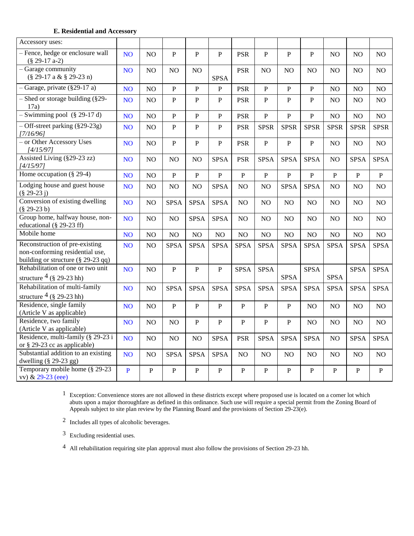#### **E. Residential and Accessory**

| Accessory uses:                                                                                             |                 |              |                |                |                |                |                |                |                |                |                |              |
|-------------------------------------------------------------------------------------------------------------|-----------------|--------------|----------------|----------------|----------------|----------------|----------------|----------------|----------------|----------------|----------------|--------------|
| - Fence, hedge or enclosure wall<br>$(\$29-17a-2)$                                                          | <b>NO</b>       | NO           | $\, {\bf P}$   | $\, {\bf P}$   | $\, {\bf P}$   | <b>PSR</b>     | $\, {\bf P}$   | $\mathbf{P}$   | $\, {\bf P}$   | NO             | N <sub>O</sub> | NO           |
| - Garage community<br>$(\$29-17a & $329-23n)$                                                               | <b>NO</b>       | NO           | NO             | NO             | <b>SPSA</b>    | <b>PSR</b>     | NO             | NO             | NO             | NO             | N <sub>O</sub> | NO           |
| $-$ Garage, private (§29-17 a)                                                                              | <b>NO</b>       | NO           | ${\bf P}$      | $\, {\bf P}$   | P              | <b>PSR</b>     | $\, {\bf P}$   | ${\bf P}$      | $\mathbf{P}$   | N <sub>O</sub> | N <sub>O</sub> | NO.          |
| $-$ Shed or storage building (§29-<br>17a)                                                                  | NO <sub>1</sub> | NO           | $\overline{P}$ | $\, {\bf P}$   | $\, {\bf P}$   | <b>PSR</b>     | $\overline{P}$ | $\, {\bf P}$   | $\mathbf{P}$   | NO             | NO             | NO           |
| $-$ Swimming pool $(\S 29-17 d)$                                                                            | <b>NO</b>       | NO           | $\mathbf{P}$   | $\mathbf{P}$   | $\mathbf{P}$   | <b>PSR</b>     | ${\bf P}$      | $\mathbf{P}$   | $\mathbf{P}$   | NO             | NO             | NO           |
| $-$ Off-street parking (§29-23g)<br>[7/16/96]                                                               | NO <sub>1</sub> | NO           | $\mathbf{P}$   | ${\bf P}$      | ${\bf P}$      | <b>PSR</b>     | <b>SPSR</b>    | <b>SPSR</b>    | <b>SPSR</b>    | <b>SPSR</b>    | <b>SPSR</b>    | <b>SPSR</b>  |
| - or Other Accessory Uses<br>[4/15/97]                                                                      | <b>NO</b>       | NO           | $\overline{P}$ | $\overline{P}$ | $\mathbf{P}$   | <b>PSR</b>     | $\mathbf{P}$   | $\overline{P}$ | $\overline{P}$ | NO             | $\rm NO$       | NO           |
| Assisted Living (§29-23 zz)<br>[4/15/97]                                                                    | NO <sub>1</sub> | NO           | NO             | NO             | <b>SPSA</b>    | <b>PSR</b>     | <b>SPSA</b>    | <b>SPSA</b>    | <b>SPSA</b>    | NO             | <b>SPSA</b>    | <b>SPSA</b>  |
| Home occupation $\sqrt{\frac{8}{29-4}}$                                                                     | <b>NO</b>       | NO           | $\overline{P}$ | $\overline{P}$ | $\overline{P}$ | $\, {\bf P}$   | $\mathbf{P}$   | $\mathbf{P}$   | $\, {\bf P}$   | $\mathbf{P}$   | $\overline{P}$ | $\, {\bf P}$ |
| Lodging house and guest house<br>$(\$29-23j)$                                                               | <b>NO</b>       | NO           | NO             | N <sub>O</sub> | <b>SPSA</b>    | NO             | N <sub>O</sub> | <b>SPSA</b>    | <b>SPSA</b>    | NO             | NO             | NO           |
| Conversion of existing dwelling<br>$(\$29-23 b)$                                                            | <b>NO</b>       | NO           | <b>SPSA</b>    | <b>SPSA</b>    | <b>SPSA</b>    | NO             | NO             | NO             | NO             | NO             | NO             | NO           |
| Group home, halfway house, non-<br>educational (§ 29-23 ff)                                                 | <b>NO</b>       | NO           | NO             | <b>SPSA</b>    | <b>SPSA</b>    | NO             | NO             | NO             | NO             | NO             | NO             | NO           |
| Mobile home                                                                                                 | <b>NO</b>       | NO           | NO             | NO             | NO             | NO             | $\rm NO$       | NO             | $\rm NO$       | NO             | NO             | NO           |
| Reconstruction of pre-existing<br>non-conforming residential use,<br>building or structure $(\S 29-23)$ qq) | <b>NO</b>       | NO           | <b>SPSA</b>    | <b>SPSA</b>    | <b>SPSA</b>    | <b>SPSA</b>    | <b>SPSA</b>    | <b>SPSA</b>    | <b>SPSA</b>    | <b>SPSA</b>    | <b>SPSA</b>    | <b>SPSA</b>  |
| Rehabilitation of one or two unit<br>structure $\frac{4}{3}$ (§ 29-23 hh)                                   | <b>NO</b>       | NO           | $\overline{P}$ | $\mathbf{P}$   | $\, {\bf P}$   | <b>SPSA</b>    | <b>SPSA</b>    | <b>SPSA</b>    | <b>SPSA</b>    | <b>SPSA</b>    | <b>SPSA</b>    | <b>SPSA</b>  |
| Rehabilitation of multi-family                                                                              | NO <sub>1</sub> | NO           | <b>SPSA</b>    | <b>SPSA</b>    | <b>SPSA</b>    | <b>SPSA</b>    | <b>SPSA</b>    | <b>SPSA</b>    | <b>SPSA</b>    | <b>SPSA</b>    | <b>SPSA</b>    | <b>SPSA</b>  |
| structure $\frac{4}{9}$ (§ 29-23 hh)<br>Residence, single family                                            |                 |              | $\mathbf P$    | $\, {\bf P}$   | ${\bf P}$      | $\, {\bf P}$   | ${\bf P}$      |                |                |                |                |              |
| (Article V as applicable)                                                                                   | <b>NO</b>       | NO           |                |                |                |                |                | $\, {\bf P}$   | NO             | NO             | NO             | NO           |
| Residence, two family<br>(Article V as applicable)                                                          | NO <sub>1</sub> | NO           | NO             | $\overline{P}$ | $\mathbf{P}$   | $\overline{P}$ | $\mathbf{P}$   | $\mathbf P$    | NO.            | NO             | NO             | NO           |
| Residence, multi-family (§ 29-23 i<br>or § 29-23 cc as applicable)                                          | <b>NO</b>       | NO           | NO             | NO             | <b>SPSA</b>    | PSR            | <b>SPSA</b>    | <b>SPSA</b>    | <b>SPSA</b>    | NO             | <b>SPSA</b>    | <b>SPSA</b>  |
| Substantial addition to an existing<br>dwelling $(\S 29-23 gg)$                                             | <b>NO</b>       | NO           | <b>SPSA</b>    | <b>SPSA</b>    | <b>SPSA</b>    | NO             | NO             | NO             | NO             | NO             | N <sub>O</sub> | NO           |
| Temporary mobile home (§ 29-23<br>vv) & 29-23 (eee)                                                         | $\mathbf{P}$    | $\mathbf{P}$ | $\overline{P}$ | $\mathbf{P}$   | $\mathbf{P}$   | $\mathbf{P}$   | ${\bf P}$      | $\, {\bf P}$   | $\mathbf{P}$   | $\mathbf{P}$   | ${\bf P}$      | $\, {\bf P}$ |

 $1$  Exception: Convenience stores are not allowed in these districts except where proposed use is located on a corner lot which abuts upon a major thoroughfare as defined in this ordinance. Such use will require a special permit from the Zoning Board of Appeals subject to site plan review by the Planning Board and the provisions of Section 29-23(e).

2 Includes all types of alcoholic beverages.

3 Excluding residential uses.

4 All rehabilitation requiring site plan approval must also follow the provisions of Section 29-23 hh.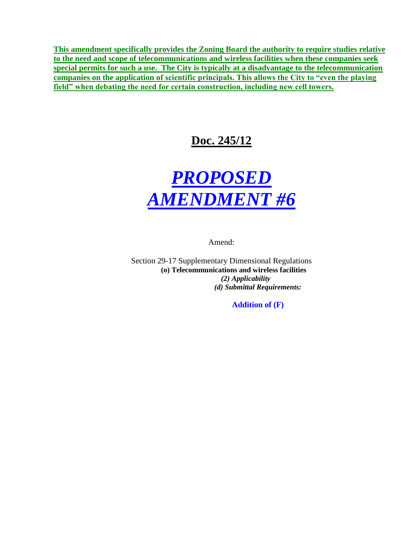**This amendment specifically provides the Zoning Board the authority to require studies relative to the need and scope of telecommunications and wireless facilities when these companies seek special permits for such a use. The City is typically at a disadvantage to the telecommunication companies on the application of scientific principals. This allows the City to "even the playing field" when debating the need for certain construction, including new cell towers.**

# **Doc. 245/12**



Amend:

Section 29-17 Supplementary Dimensional Regulations **(o) Telecommunications and wireless facilities** *(2) Applicability (d) Submittal Requirements:*

**Addition of (F)**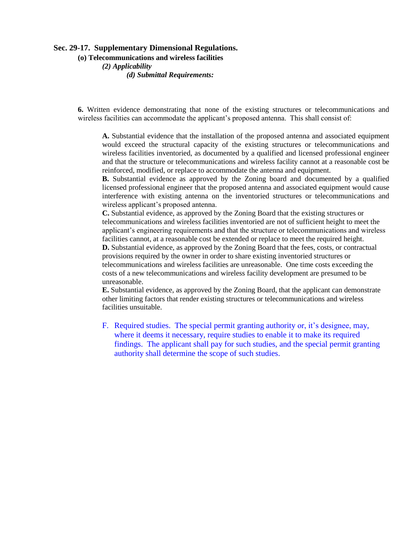#### **Sec. 29-17. Supplementary Dimensional Regulations.**

**(o) Telecommunications and wireless facilities**

*(2) Applicability (d) Submittal Requirements:*

**6.** Written evidence demonstrating that none of the existing structures or telecommunications and wireless facilities can accommodate the applicant's proposed antenna. This shall consist of:

**A.** Substantial evidence that the installation of the proposed antenna and associated equipment would exceed the structural capacity of the existing structures or telecommunications and wireless facilities inventoried, as documented by a qualified and licensed professional engineer and that the structure or telecommunications and wireless facility cannot at a reasonable cost be reinforced, modified, or replace to accommodate the antenna and equipment.

**B.** Substantial evidence as approved by the Zoning board and documented by a qualified licensed professional engineer that the proposed antenna and associated equipment would cause interference with existing antenna on the inventoried structures or telecommunications and wireless applicant's proposed antenna.

**C.** Substantial evidence, as approved by the Zoning Board that the existing structures or telecommunications and wireless facilities inventoried are not of sufficient height to meet the applicant's engineering requirements and that the structure or telecommunications and wireless facilities cannot, at a reasonable cost be extended or replace to meet the required height.

**D.** Substantial evidence, as approved by the Zoning Board that the fees, costs, or contractual provisions required by the owner in order to share existing inventoried structures or telecommunications and wireless facilities are unreasonable. One time costs exceeding the costs of a new telecommunications and wireless facility development are presumed to be unreasonable.

**E.** Substantial evidence, as approved by the Zoning Board, that the applicant can demonstrate other limiting factors that render existing structures or telecommunications and wireless facilities unsuitable.

F. Required studies. The special permit granting authority or, it's designee, may, where it deems it necessary, require studies to enable it to make its required findings. The applicant shall pay for such studies, and the special permit granting authority shall determine the scope of such studies.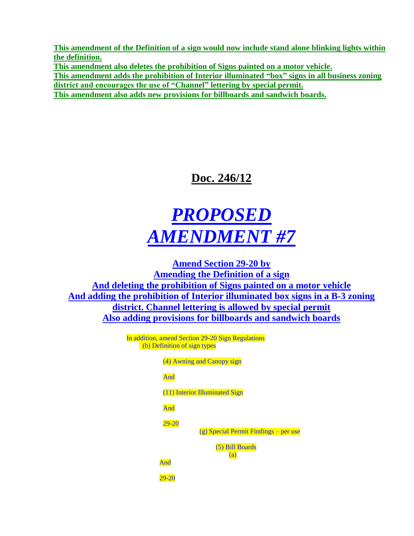**This amendment of the Definition of a sign would now include stand alone blinking lights within the definition.** 

**This amendment also deletes the prohibition of Signs painted on a motor vehicle. This amendment adds the prohibition of Interior illuminated "box" signs in all business zoning district and encourages the use of "Channel" lettering by special permit. This amendment also adds new provisions for billboards and sandwich boards.**

# **Doc. 246/12**

# *PROPOSED AMENDMENT #7*

**Amend Section 29-20 by Amending the Definition of a sign And deleting the prohibition of Signs painted on a motor vehicle And adding the prohibition of Interior illuminated box signs in a B-3 zoning district. Channel lettering is allowed by special permit Also adding provisions for billboards and sandwich boards**

> In addition, amend Section 29-20 Sign Regulations (b) Definition of sign types

> > (4) Awning and Canopy sign

#### And

(11) Interior Illuminated Sign

And

29-20

(g) Special Permit Findings – per use

(5) Bill Boards (a)

And

29-20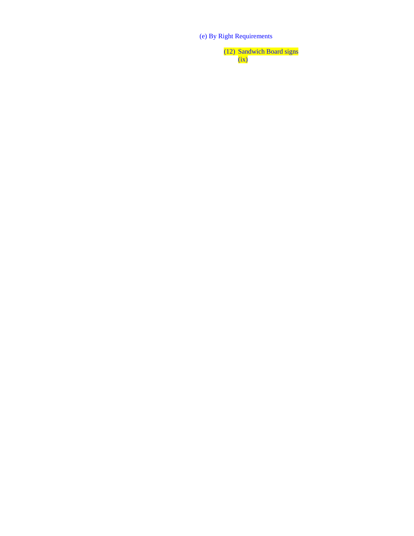(e) By Right Requirements

(12) Sandwich Board signs (ix)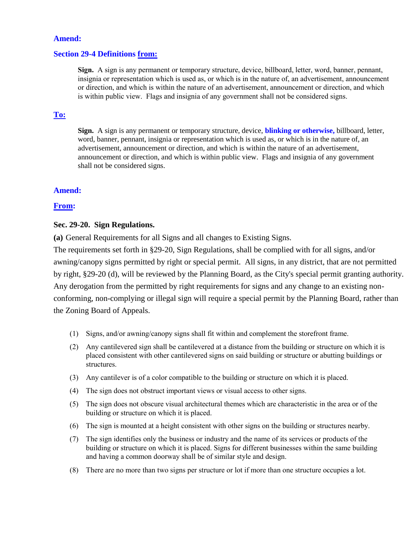#### **Amend:**

#### **Section 29-4 Definitions from:**

**Sign.** A sign is any permanent or temporary structure, device, billboard, letter, word, banner, pennant, insignia or representation which is used as, or which is in the nature of, an advertisement, announcement or direction, and which is within the nature of an advertisement, announcement or direction, and which is within public view. Flags and insignia of any government shall not be considered signs.

#### **To:**

**Sign.** A sign is any permanent or temporary structure, device, **blinking or otherwise,** billboard, letter, word, banner, pennant, insignia or representation which is used as, or which is in the nature of, an advertisement, announcement or direction, and which is within the nature of an advertisement, announcement or direction, and which is within public view. Flags and insignia of any government shall not be considered signs.

#### **Amend:**

#### **From:**

#### **Sec. 29-20. Sign Regulations.**

**(a)** General Requirements for all Signs and all changes to Existing Signs.

The requirements set forth in §29-20, Sign Regulations, shall be complied with for all signs, and/or awning/canopy signs permitted by right or special permit. All signs, in any district, that are not permitted by right, §29-20 (d), will be reviewed by the Planning Board, as the City's special permit granting authority. Any derogation from the permitted by right requirements for signs and any change to an existing nonconforming, non-complying or illegal sign will require a special permit by the Planning Board, rather than the Zoning Board of Appeals.

- (1) Signs, and/or awning/canopy signs shall fit within and complement the storefront frame.
- (2) Any cantilevered sign shall be cantilevered at a distance from the building or structure on which it is placed consistent with other cantilevered signs on said building or structure or abutting buildings or structures.
- (3) Any cantilever is of a color compatible to the building or structure on which it is placed.
- (4) The sign does not obstruct important views or visual access to other signs.
- (5) The sign does not obscure visual architectural themes which are characteristic in the area or of the building or structure on which it is placed.
- (6) The sign is mounted at a height consistent with other signs on the building or structures nearby.
- (7) The sign identifies only the business or industry and the name of its services or products of the building or structure on which it is placed. Signs for different businesses within the same building and having a common doorway shall be of similar style and design.
- (8) There are no more than two signs per structure or lot if more than one structure occupies a lot.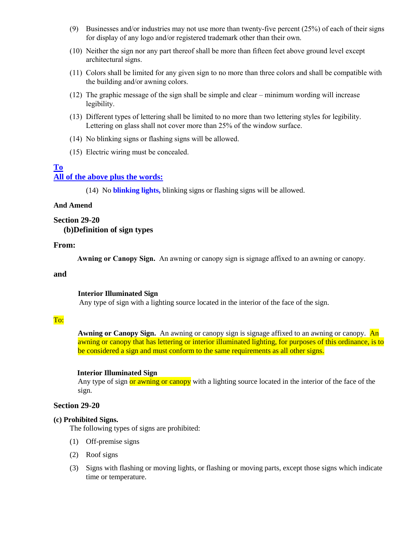- (9) Businesses and/or industries may not use more than twenty-five percent (25%) of each of their signs for display of any logo and/or registered trademark other than their own.
- (10) Neither the sign nor any part thereof shall be more than fifteen feet above ground level except architectural signs.
- (11) Colors shall be limited for any given sign to no more than three colors and shall be compatible with the building and/or awning colors.
- (12) The graphic message of the sign shall be simple and clear minimum wording will increase legibility.
- (13) Different types of lettering shall be limited to no more than two lettering styles for legibility. Lettering on glass shall not cover more than 25% of the window surface.
- (14) No blinking signs or flashing signs will be allowed.
- (15) Electric wiring must be concealed.

#### **To All of the above plus the words:**

(14) No **blinking lights,** blinking signs or flashing signs will be allowed.

#### **And Amend**

#### **Section 29-20 (b)Definition of sign types**

#### **From:**

**Awning or Canopy Sign.** An awning or canopy sign is signage affixed to an awning or canopy.

#### **and**

#### **Interior Illuminated Sign**

Any type of sign with a lighting source located in the interior of the face of the sign.

#### To:

Awning or Canopy Sign. An awning or canopy sign is signage affixed to an awning or canopy. An awning or canopy that has lettering or interior illuminated lighting, for purposes of this ordinance, is to be considered a sign and must conform to the same requirements as all other signs.

#### **Interior Illuminated Sign**

Any type of sign or awning or canopy with a lighting source located in the interior of the face of the sign.

#### **Section 29-20**

#### **(c) Prohibited Signs.**

The following types of signs are prohibited:

- (1) Off-premise signs
- (2) Roof signs
- (3) Signs with flashing or moving lights, or flashing or moving parts, except those signs which indicate time or temperature.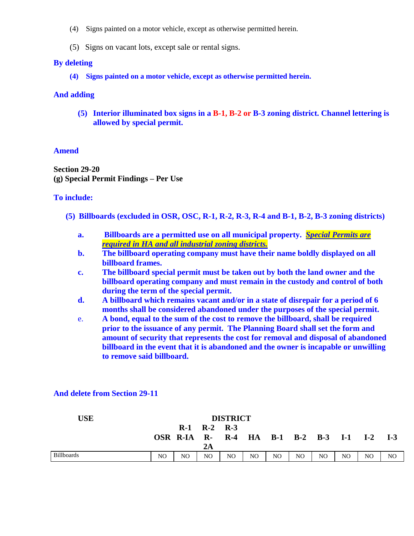- (4) Signs painted on a motor vehicle, except as otherwise permitted herein.
- (5) Signs on vacant lots, except sale or rental signs.

#### **By deleting**

**(4) Signs painted on a motor vehicle, except as otherwise permitted herein.**

#### **And adding**

**(5) Interior illuminated box signs in a B-1, B-2 or B-3 zoning district. Channel lettering is allowed by special permit.**

#### **Amend**

**Section 29-20 (g) Special Permit Findings – Per Use**

#### **To include:**

- **(5) Billboards (excluded in OSR, OSC, R-1, R-2, R-3, R-4 and B-1, B-2, B-3 zoning districts)**
	- **a. Billboards are a permitted use on all municipal property.** *Special Permits are required in HA and all industrial zoning districts.*
	- **b. The billboard operating company must have their name boldly displayed on all billboard frames.**
	- **c. The billboard special permit must be taken out by both the land owner and the billboard operating company and must remain in the custody and control of both during the term of the special permit.**
	- **d. A billboard which remains vacant and/or in a state of disrepair for a period of 6 months shall be considered abandoned under the purposes of the special permit.**
	- e. **A bond, equal to the sum of the cost to remove the billboard, shall be required prior to the issuance of any permit. The Planning Board shall set the form and amount of security that represents the cost for removal and disposal of abandoned billboard in the event that it is abandoned and the owner is incapable or unwilling to remove said billboard.**

| <b>USE</b>        | <b>DISTRICT</b> |                          |                                   |    |          |     |     |                        |    |       |       |
|-------------------|-----------------|--------------------------|-----------------------------------|----|----------|-----|-----|------------------------|----|-------|-------|
|                   |                 | $R-1$<br><b>OSR R-IA</b> | $R-2$ $R-3$<br>$\mathbf{R}$<br>2A |    | $R-4$ HA |     |     | <b>B-1 B-2 B-3 I-1</b> |    | $I-2$ | $I-3$ |
| <b>Billboards</b> | NO              | NO                       | NO                                | NO | NO.      | NO. | NO. | N <sub>O</sub>         | NO | NO    | NO    |

#### **And delete from Section 29-11**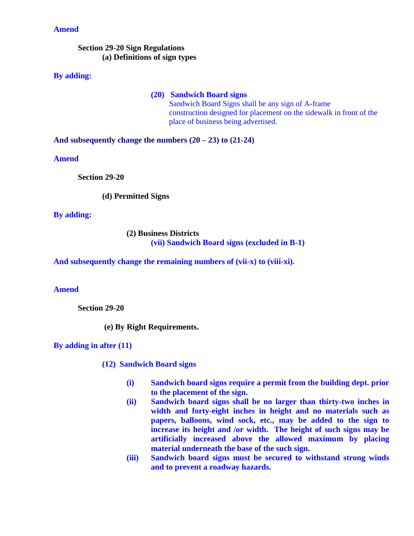#### **Amend**

#### **Section 29-20 Sign Regulations (a) Definitions of sign types**

#### **By adding:**

#### **(20) Sandwich Board signs**

Sandwich Board Signs shall be any sign of A-frame construction designed for placement on the sidewalk in front of the place of business being advertised.

**And subsequently change the numbers (20 – 23) to (21-24)**

**Amend**

**Section 29-20**

**(d) Permitted Signs**

**By adding:**

**(2) Business Districts (vii) Sandwich Board signs (excluded in B-1)**

**And subsequently change the remaining numbers of (vii-x) to (viii-xi).**

**Amend** 

**Section 29-20** 

**(e) By Right Requirements.**

**By adding in after (11)**

**(12) Sandwich Board signs**

- **(i) Sandwich board signs require a permit from the building dept. prior to the placement of the sign.**
- **(ii) Sandwich board signs shall be no larger than thirty-two inches in width and forty-eight inches in height and no materials such as papers, balloons, wind sock, etc., may be added to the sign to increase its height and /or width. The height of such signs may be artificially increased above the allowed maximum by placing material underneath the base of the such sign.**
- **(iii) Sandwich board signs must be secured to withstand strong winds and to prevent a roadway hazards.**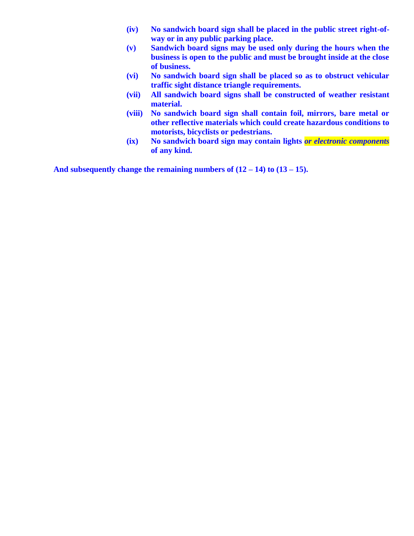- **(iv) No sandwich board sign shall be placed in the public street right-ofway or in any public parking place.**
- **(v) Sandwich board signs may be used only during the hours when the business is open to the public and must be brought inside at the close of business.**
- **(vi) No sandwich board sign shall be placed so as to obstruct vehicular traffic sight distance triangle requirements.**
- **(vii) All sandwich board signs shall be constructed of weather resistant material.**
- **(viii) No sandwich board sign shall contain foil, mirrors, bare metal or other reflective materials which could create hazardous conditions to motorists, bicyclists or pedestrians.**
- **(ix) No sandwich board sign may contain lights** *or electronic components* **of any kind.**

**And subsequently change the remaining numbers of (12 – 14) to (13 – 15).**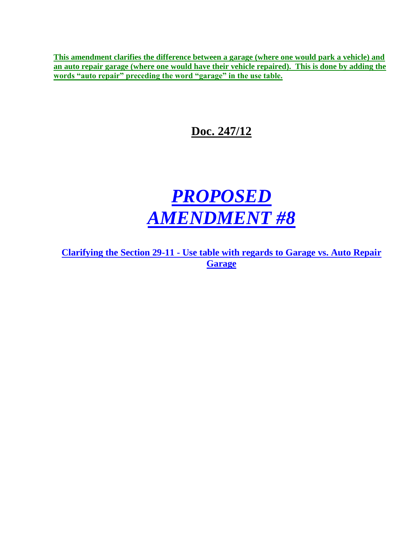**This amendment clarifies the difference between a garage (where one would park a vehicle) and an auto repair garage (where one would have their vehicle repaired). This is done by adding the words "auto repair" preceding the word "garage" in the use table.**

# **Doc. 247/12**



**Clarifying the Section 29-11 - Use table with regards to Garage vs. Auto Repair Garage**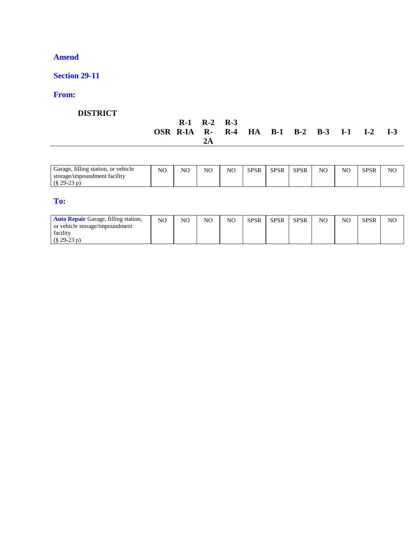## **Amend**

## **Section 29-11**

## **From:**

## **DISTRICT**

|                                            | $R-1$ $R-2$ $R-3$ |  |  |  |  |
|--------------------------------------------|-------------------|--|--|--|--|
| OSR R-IA R- R-4 HA B-1 B-2 B-3 I-1 I-2 I-3 |                   |  |  |  |  |

| $C^*$ 11 $^*$<br>$\sim$<br>Garage, filling station, or vehicle | NO | NC | NO | NO | <b>CDCD</b><br>'SК<br>JІ | SPSR | <b>SPSR</b> | NO | NC | <b>SPSR</b> | NC |
|----------------------------------------------------------------|----|----|----|----|--------------------------|------|-------------|----|----|-------------|----|
| $\sim$ $\sim$ $\sim$ $\sim$<br>storage/impoundment facility    |    |    |    |    |                          |      |             |    |    |             |    |
| $(\$29-23$                                                     |    |    |    |    |                          |      |             |    |    |             |    |

#### **To:**

| <b>Auto Repair</b> Garage, filling station, | NO | NC | NO | NO | <b>SPSR</b> | <b>SPSR</b> | <b>SPSR</b> | NO | NC | <b>SPSR</b> | NC |
|---------------------------------------------|----|----|----|----|-------------|-------------|-------------|----|----|-------------|----|
| or vehicle storage/impoundment              |    |    |    |    |             |             |             |    |    |             |    |
| facility                                    |    |    |    |    |             |             |             |    |    |             |    |
| $(\S 29-23 p)$                              |    |    |    |    |             |             |             |    |    |             |    |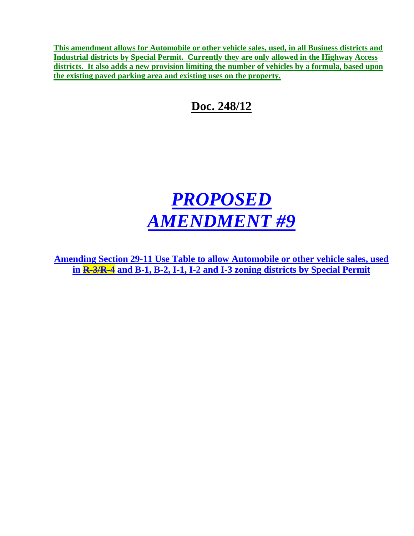**This amendment allows for Automobile or other vehicle sales, used, in all Business districts and Industrial districts by Special Permit. Currently they are only allowed in the Highway Access districts. It also adds a new provision limiting the number of vehicles by a formula, based upon the existing paved parking area and existing uses on the property.**

**Doc. 248/12**

# *PROPOSED AMENDMENT #9*

**Amending Section 29-11 Use Table to allow Automobile or other vehicle sales, used in R-3/R-4 and B-1, B-2, I-1, I-2 and I-3 zoning districts by Special Permit**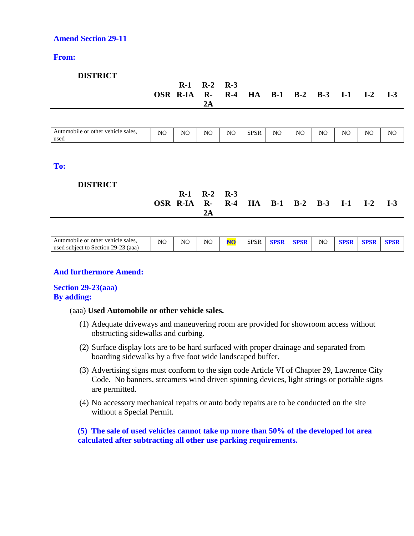#### **Amend Section 29-11**

#### **From:**

#### **DISTRICT**

|                                            |     | OSR R-IA R- R-4 | $R-1$ $R-2$ $R-3$<br>2A |     |             |     |     |     | HA B-1 B-2 B-3 I-1 I-2 I-3 |     |     |
|--------------------------------------------|-----|-----------------|-------------------------|-----|-------------|-----|-----|-----|----------------------------|-----|-----|
|                                            |     |                 |                         |     |             |     |     |     |                            |     |     |
| Automobile or other vehicle sales,<br>used | NO. | NO.             | NO.                     | NO. | <b>SPSR</b> | NO. | NO. | NO. | NO.                        | NO. | NO. |
|                                            |     |                 |                         |     |             |     |     |     |                            |     |     |
| To:                                        |     |                 |                         |     |             |     |     |     |                            |     |     |

#### **DISTRICT**

|                                            | $R-1$ $R-2$ $R-3$ |  |  |  |  |
|--------------------------------------------|-------------------|--|--|--|--|
| OSR R-IA R- R-4 HA B-1 B-2 B-3 I-1 I-2 I-3 |                   |  |  |  |  |
|                                            |                   |  |  |  |  |

| other vehicle sales.<br>Automobile<br>: or                   | NC | NC | NC | <b>SPSR</b> |  | NC |  |  |
|--------------------------------------------------------------|----|----|----|-------------|--|----|--|--|
| $29 - 7$<br>aaa)<br>Section 29<br>used<br>., subiect 1<br>tο |    |    |    |             |  |    |  |  |

#### **And furthermore Amend:**

#### **Section 29-23(aaa) By adding:**

#### (aaa) **Used Automobile or other vehicle sales.**

- (1) Adequate driveways and maneuvering room are provided for showroom access without obstructing sidewalks and curbing.
- (2) Surface display lots are to be hard surfaced with proper drainage and separated from boarding sidewalks by a five foot wide landscaped buffer.
- (3) Advertising signs must conform to the sign code Article VI of Chapter 29, Lawrence City Code. No banners, streamers wind driven spinning devices, light strings or portable signs are permitted.
- (4) No accessory mechanical repairs or auto body repairs are to be conducted on the site without a Special Permit.

**(5) The sale of used vehicles cannot take up more than 50% of the developed lot area calculated after subtracting all other use parking requirements.**